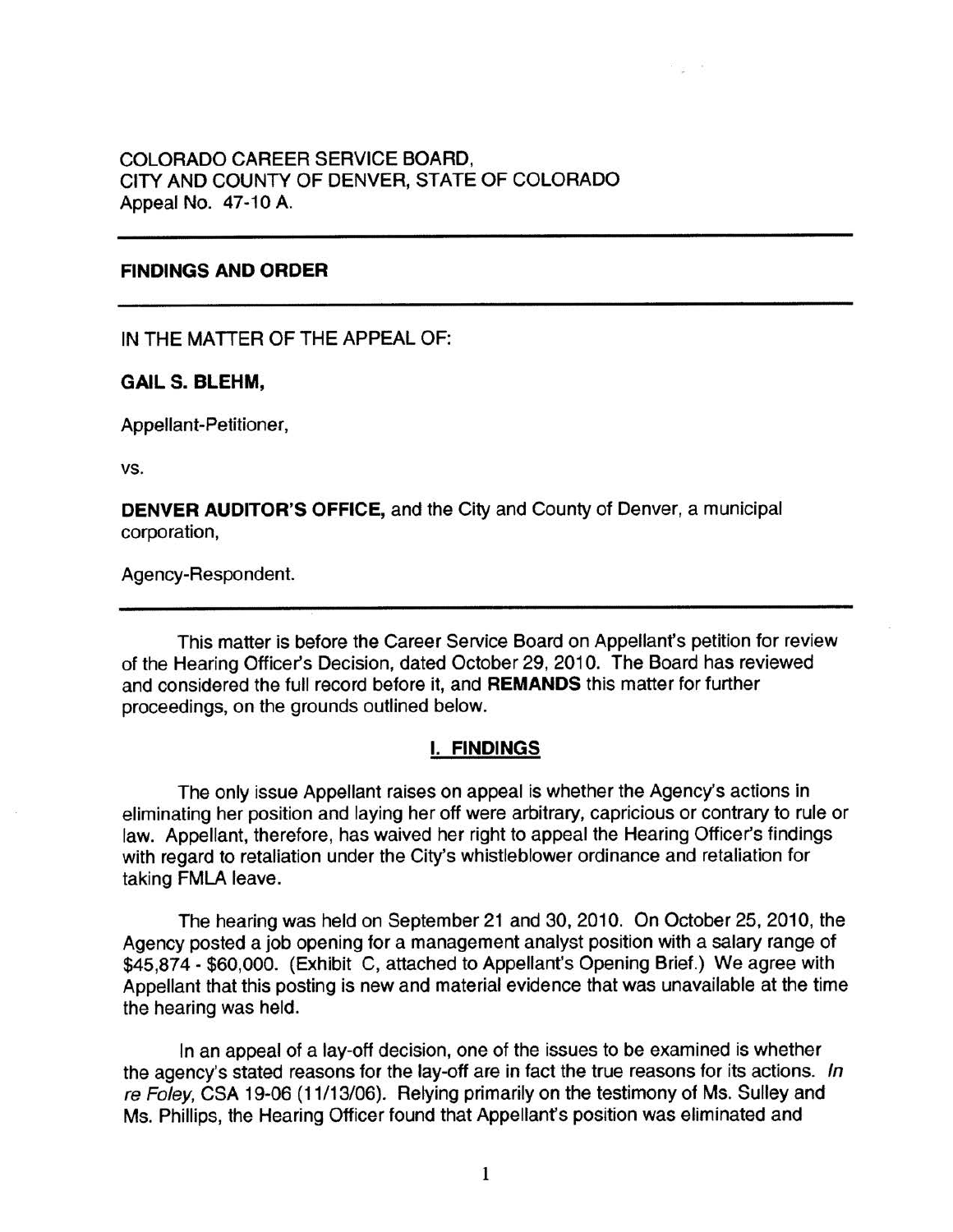## COLORADO CAREER SERVICE BOARD, CITY AND COUNTY OF DENVER, STATE OF COLORADO Appeal No. 47-10 A.

## **FINDINGS AND ORDER**

IN THE MATTER OF THE APPEAL OF:

#### **GAIL S. BLEHM,**

Appellant-Petitioner,

vs.

**DENVER AUDITOR'S OFFICE,** and the City and County of Denver, a municipal corporation,

Agency-Respondent.

This matter is before the Career Service Board on Appellant's petition for review of the Hearing Officer's Decision, dated October 29, 2010. The Board has reviewed and considered the full record before it, and **REMANDS** this matter for further proceedings, on the grounds outlined below.

## I. **FINDINGS**

The only issue Appellant raises on appeal is whether the Agency's actions in eliminating her position and laying her off were arbitrary, capricious or contrary to rule or law. Appellant, therefore, has waived her right to appeal the Hearing Officer's findings with regard to retaliation under the City's whistleblower ordinance and retaliation for taking FMLA leave.

The hearing was held on September 21 and 30, 2010. On October 25, 2010, the Agency posted a job opening for a management analyst position with a salary range of \$45,874 - \$60,000. (Exhibit C, attached to Appellant's Opening Brief.) We agree with Appellant that this posting is new and material evidence that was unavailable at the time the hearing was held.

In an appeal of a lay-off decision, one of the issues to be examined is whether the agency's stated reasons for the lay-off are in fact the true reasons for its actions. In re Foley, CSA 19-06 (11/13/06). Relying primarily on the testimony of Ms. Sulley and Ms. Phillips, the Hearing Officer found that Appellant's position was eliminated and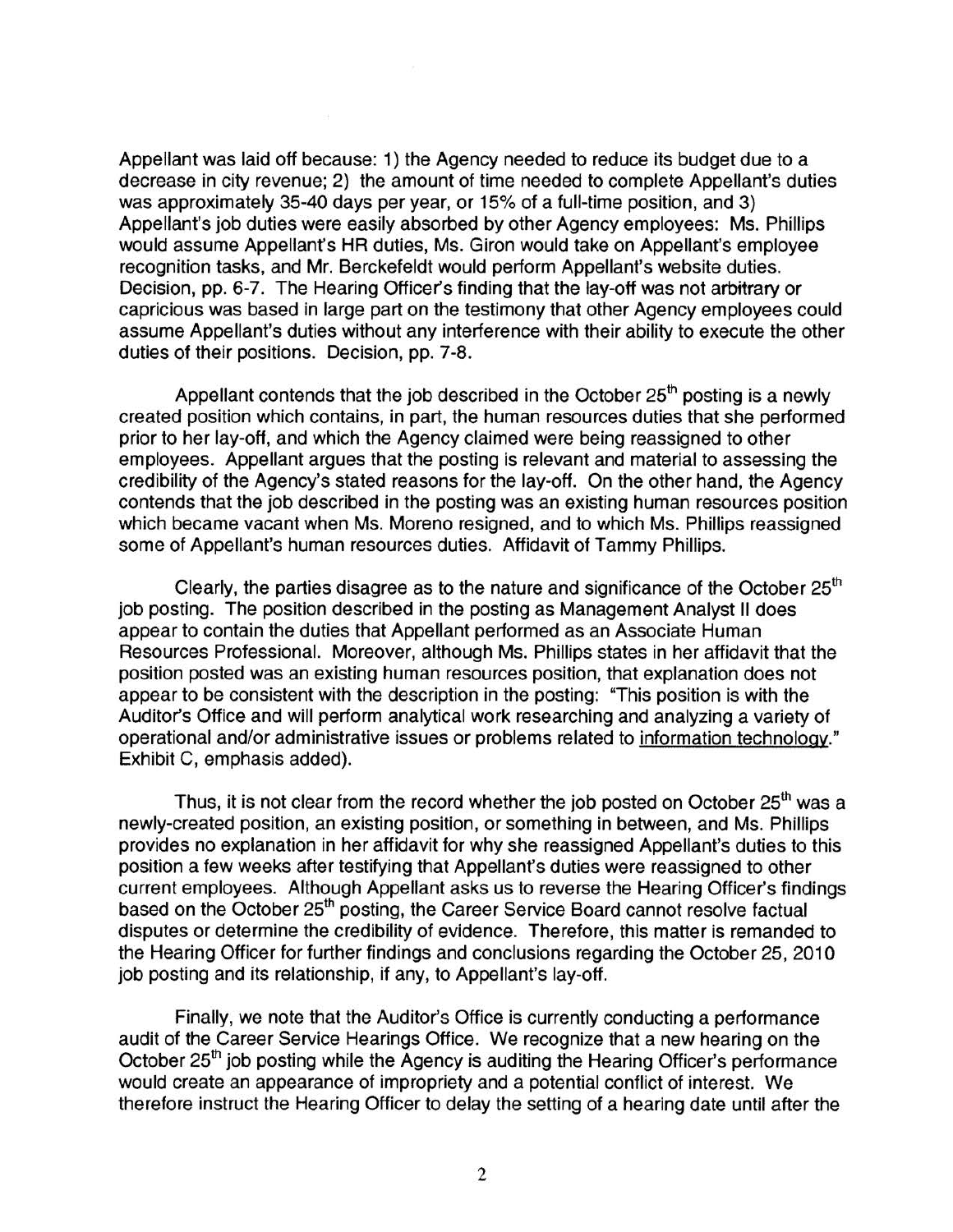Appellant was laid off because: 1) the Agency needed to reduce its budget due to a decrease in city revenue; 2) the amount of time needed to complete Appellant's duties was approximately 35-40 days per year, or 15% of a full-time position, and 3) Appellant's job duties were easily absorbed by other Agency employees: Ms. Phillips would assume Appellant's HR duties, Ms. Giron would take on Appellant's employee recognition tasks, and Mr. Berckefeldt would perform Appellant's website duties. Decision, pp. 6-7. The Hearing Officer's finding that the lay-off was not arbitrary or capricious was based in large part on the testimony that other Agency employees could assume Appellant's duties without any interference with their ability to execute the other duties of their positions. Decision, pp. 7-8.

Appellant contends that the job described in the October  $25<sup>th</sup>$  posting is a newly created position which contains, in part, the human resources duties that she performed prior to her lay-off, and which the Agency claimed were being reassigned to other employees. Appellant argues that the posting is relevant and material to assessing the credibility of the Agency's stated reasons for the lay-off. On the other hand, the Agency contends that the job described in the posting was an existing human resources position which became vacant when Ms. Moreno resigned, and to which Ms. Phillips reassigned some of Appellant's human resources duties. Affidavit of Tammy Phillips.

Clearly, the parties disagree as to the nature and significance of the October  $25<sup>th</sup>$ job posting. The position described in the posting as Management Analyst II does appear to contain the duties that Appellant performed as an Associate Human Resources Professional. Moreover, although Ms. Phillips states in her affidavit that the position posted was an existing human resources position, that explanation does not appear to be consistent with the description in the posting: "This position is with the Auditor's Office and will perform analytical work researching and analyzing a variety of operational and/or administrative issues or problems related to information technology." Exhibit C, emphasis added).

Thus, it is not clear from the record whether the job posted on October 25<sup>th</sup> was a newly-created position, an existing position, or something in between, and Ms. Phillips provides no explanation in her affidavit for why she reassigned Appellant's duties to this position a few weeks after testifying that Appellant's duties were reassigned to other current employees. Although Appellant asks us to reverse the Hearing Officer's findings based on the October 25<sup>th</sup> posting, the Career Service Board cannot resolve factual disputes or determine the credibility of evidence. Therefore, this matter is remanded to the Hearing Officer for further findings and conclusions regarding the October 25, 2010 job posting and its relationship, if any, to Appellant's lay-off.

Finally, we note that the Auditor's Office is currently conducting a performance audit of the Career Service Hearings Office. We recognize that a new hearing on the October 25<sup>th</sup> job posting while the Agency is auditing the Hearing Officer's performance would create an appearance of impropriety and a potential conflict of interest. We therefore instruct the Hearing Officer to delay the setting of a hearing date until after the